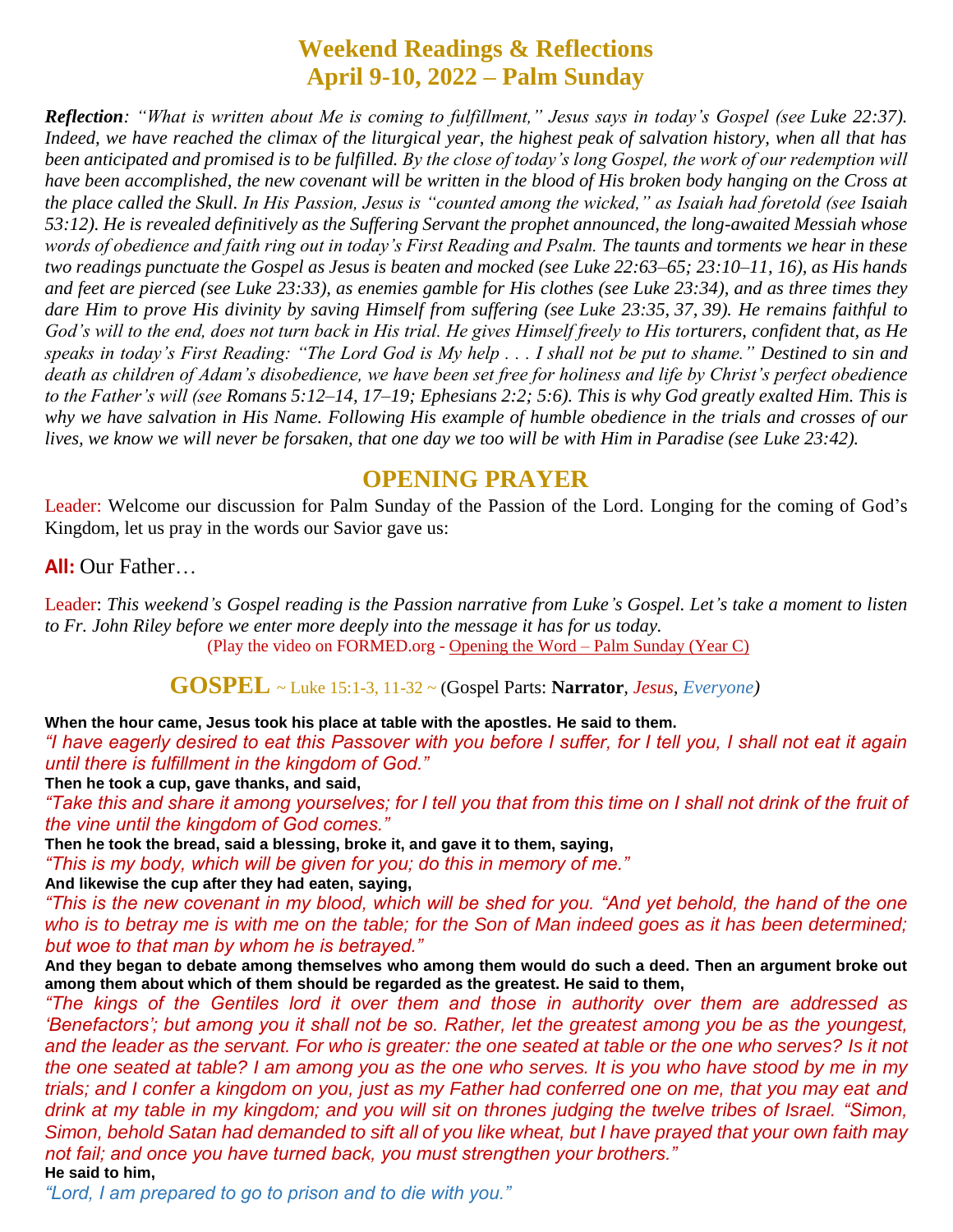## **Weekend Readings & Reflections April 9-10, 2022 – Palm Sunday**

*Reflection: "What is written about Me is coming to fulfillment," Jesus says in today's Gospel (see [Luke 22:37\)](https://biblia.com/bible/rsvce/Luke%2022.37). Indeed, we have reached the climax of the liturgical year, the highest peak of salvation history, when all that has been anticipated and promised is to be fulfilled. By the close of today's long Gospel, the work of our redemption will have been accomplished, the new covenant will be written in the blood of His broken body hanging on the Cross at the place called the Skull. In His Passion, Jesus is "counted among the wicked," as Isaiah had foretold (see [Isaiah](https://biblia.com/bible/rsvce/Isa%2053.12)  [53:12\)](https://biblia.com/bible/rsvce/Isa%2053.12). He is revealed definitively as the Suffering Servant the prophet announced, the long-awaited Messiah whose words of obedience and faith ring out in today's First Reading and Psalm. The taunts and torments we hear in these two readings punctuate the Gospel as Jesus is beaten and mocked (see [Luke 22:63–65;](https://biblia.com/bible/rsvce/Luke%2022.63%E2%80%9365) [23:10–11,](https://biblia.com/bible/rsvce/Luke%2023.10%E2%80%9311) [16\)](https://biblia.com/bible/rsvce/Luke%2023.16), as His hands and feet are pierced (see [Luke 23:33\)](https://biblia.com/bible/rsvce/Luke%2023.33), as enemies gamble for His clothes (see [Luke 23:34\)](https://biblia.com/bible/rsvce/Luke%2023.34), and as three times they dare Him to prove His divinity by saving Himself from suffering (see [Luke 23:35,](https://biblia.com/bible/rsvce/Luke%2023.35) [37,](https://biblia.com/bible/rsvce/Luke%2023.37) [39\)](https://biblia.com/bible/rsvce/Luke%2023.39). He remains faithful to God's will to the end, does not turn back in His trial. He gives Himself freely to His torturers, confident that, as He speaks in today's First Reading: "The Lord God is My help . . . I shall not be put to shame." Destined to sin and death as children of Adam's disobedience, we have been set free for holiness and life by Christ's perfect obedience to the Father's will (see [Romans 5:12–14,](https://biblia.com/bible/rsvce/Rom%205.12%E2%80%9314) [17–19;](https://biblia.com/bible/rsvce/Romans%205.17%E2%80%9319) [Ephesians 2:2;](https://biblia.com/bible/rsvce/Eph%202.2) [5:6\)](https://biblia.com/bible/rsvce/Ephesians%205.6). This is why God greatly exalted Him. This is why we have salvation in His Name. Following His example of humble obedience in the trials and crosses of our lives, we know we will never be forsaken, that one day we too will be with Him in Paradise (see [Luke 23:42\)](https://biblia.com/bible/rsvce/Luke%2023.42).*

### **OPENING PRAYER**

Leader: Welcome our discussion for Palm Sunday of the Passion of the Lord. Longing for the coming of God's Kingdom, let us pray in the words our Savior gave us:

**All:** Our Father…

Leader: *This weekend's Gospel reading is the Passion narrative from Luke's Gospel. Let's take a moment to listen to Fr. John Riley before we enter more deeply into the message it has for us today.* (Play the video on FORMED.org - [Opening the Word –](https://watch.formed.org/opening-the-word-1/season:3/videos/palm-sunday-april-14-2019) Palm Sunday (Year C)

**GOSPEL** ~ Luke 15:1-3, 11-32 <sup>~</sup> (Gospel Parts: **Narrator***, Jesus, Everyone)*

#### **When the hour came, Jesus took his place at table with the apostles. He said to them.**

*"I have eagerly desired to eat this Passover with you before I suffer, for I tell you, I shall not eat it again until there is fulfillment in the kingdom of God."*

**Then he took a cup, gave thanks, and said,**

*"Take this and share it among yourselves; for I tell you that from this time on I shall not drink of the fruit of the vine until the kingdom of God comes."*

**Then he took the bread, said a blessing, broke it, and gave it to them, saying,**

*"This is my body, which will be given for you; do this in memory of me."*

**And likewise the cup after they had eaten, saying,**

*"This is the new covenant in my blood, which will be shed for you. "And yet behold, the hand of the one who is to betray me is with me on the table; for the Son of Man indeed goes as it has been determined; but woe to that man by whom he is betrayed."*

**And they began to debate among themselves who among them would do such a deed. Then an argument broke out among them about which of them should be regarded as the greatest. He said to them,**

*"The kings of the Gentiles lord it over them and those in authority over them are addressed as 'Benefactors'; but among you it shall not be so. Rather, let the greatest among you be as the youngest, and the leader as the servant. For who is greater: the one seated at table or the one who serves? Is it not the one seated at table? I am among you as the one who serves. It is you who have stood by me in my trials; and I confer a kingdom on you, just as my Father had conferred one on me, that you may eat and drink at my table in my kingdom; and you will sit on thrones judging the twelve tribes of Israel. "Simon, Simon, behold Satan had demanded to sift all of you like wheat, but I have prayed that your own faith may not fail; and once you have turned back, you must strengthen your brothers."* **He said to him,**

*"Lord, I am prepared to go to prison and to die with you."*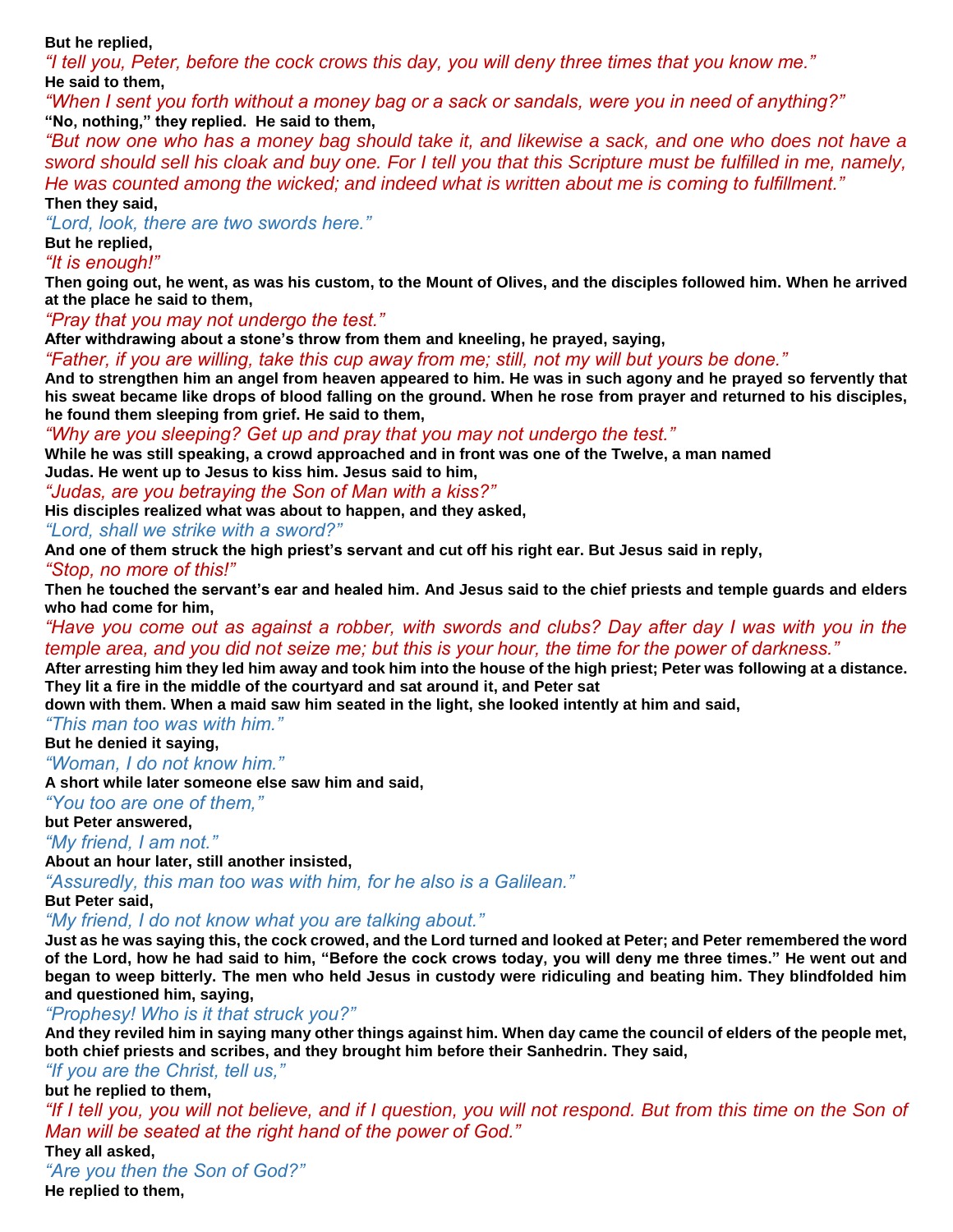**But he replied,**

*"I tell you, Peter, before the cock crows this day, you will deny three times that you know me."* **He said to them,**

*"When I sent you forth without a money bag or a sack or sandals, were you in need of anything?"* **"No, nothing," they replied. He said to them,**

*"But now one who has a money bag should take it, and likewise a sack, and one who does not have a sword should sell his cloak and buy one. For I tell you that this Scripture must be fulfilled in me, namely, He was counted among the wicked; and indeed what is written about me is coming to fulfillment."* **Then they said,**

*"Lord, look, there are two swords here."*

**But he replied,**

*"It is enough!"*

**Then going out, he went, as was his custom, to the Mount of Olives, and the disciples followed him. When he arrived at the place he said to them,**

*"Pray that you may not undergo the test."*

**After withdrawing about a stone's throw from them and kneeling, he prayed, saying,**

*"Father, if you are willing, take this cup away from me; still, not my will but yours be done."*

**And to strengthen him an angel from heaven appeared to him. He was in such agony and he prayed so fervently that his sweat became like drops of blood falling on the ground. When he rose from prayer and returned to his disciples, he found them sleeping from grief. He said to them,**

*"Why are you sleeping? Get up and pray that you may not undergo the test."*

**While he was still speaking, a crowd approached and in front was one of the Twelve, a man named Judas. He went up to Jesus to kiss him. Jesus said to him,**

*"Judas, are you betraying the Son of Man with a kiss?"*

**His disciples realized what was about to happen, and they asked,**

*"Lord, shall we strike with a sword?"*

**And one of them struck the high priest's servant and cut off his right ear. But Jesus said in reply,**

*"Stop, no more of this!"*

**Then he touched the servant's ear and healed him. And Jesus said to the chief priests and temple guards and elders who had come for him,**

*"Have you come out as against a robber, with swords and clubs? Day after day I was with you in the temple area, and you did not seize me; but this is your hour, the time for the power of darkness."*

**After arresting him they led him away and took him into the house of the high priest; Peter was following at a distance. They lit a fire in the middle of the courtyard and sat around it, and Peter sat**

**down with them. When a maid saw him seated in the light, she looked intently at him and said,**

*"This man too was with him."*

#### **But he denied it saying,**

*"Woman, I do not know him."*

**A short while later someone else saw him and said,**

*"You too are one of them,"*

**but Peter answered,**

*"My friend, I am not."*

**About an hour later, still another insisted,**

*"Assuredly, this man too was with him, for he also is a Galilean."*

**But Peter said,**

*"My friend, I do not know what you are talking about."*

**Just as he was saying this, the cock crowed, and the Lord turned and looked at Peter; and Peter remembered the word of the Lord, how he had said to him, "Before the cock crows today, you will deny me three times." He went out and began to weep bitterly. The men who held Jesus in custody were ridiculing and beating him. They blindfolded him and questioned him, saying,**

*"Prophesy! Who is it that struck you?"*

**And they reviled him in saying many other things against him. When day came the council of elders of the people met, both chief priests and scribes, and they brought him before their Sanhedrin. They said,**

*"If you are the Christ, tell us,"*

**but he replied to them,**

*"If I tell you, you will not believe, and if I question, you will not respond. But from this time on the Son of Man will be seated at the right hand of the power of God."*

#### **They all asked,**

*"Are you then the Son of God?"* **He replied to them,**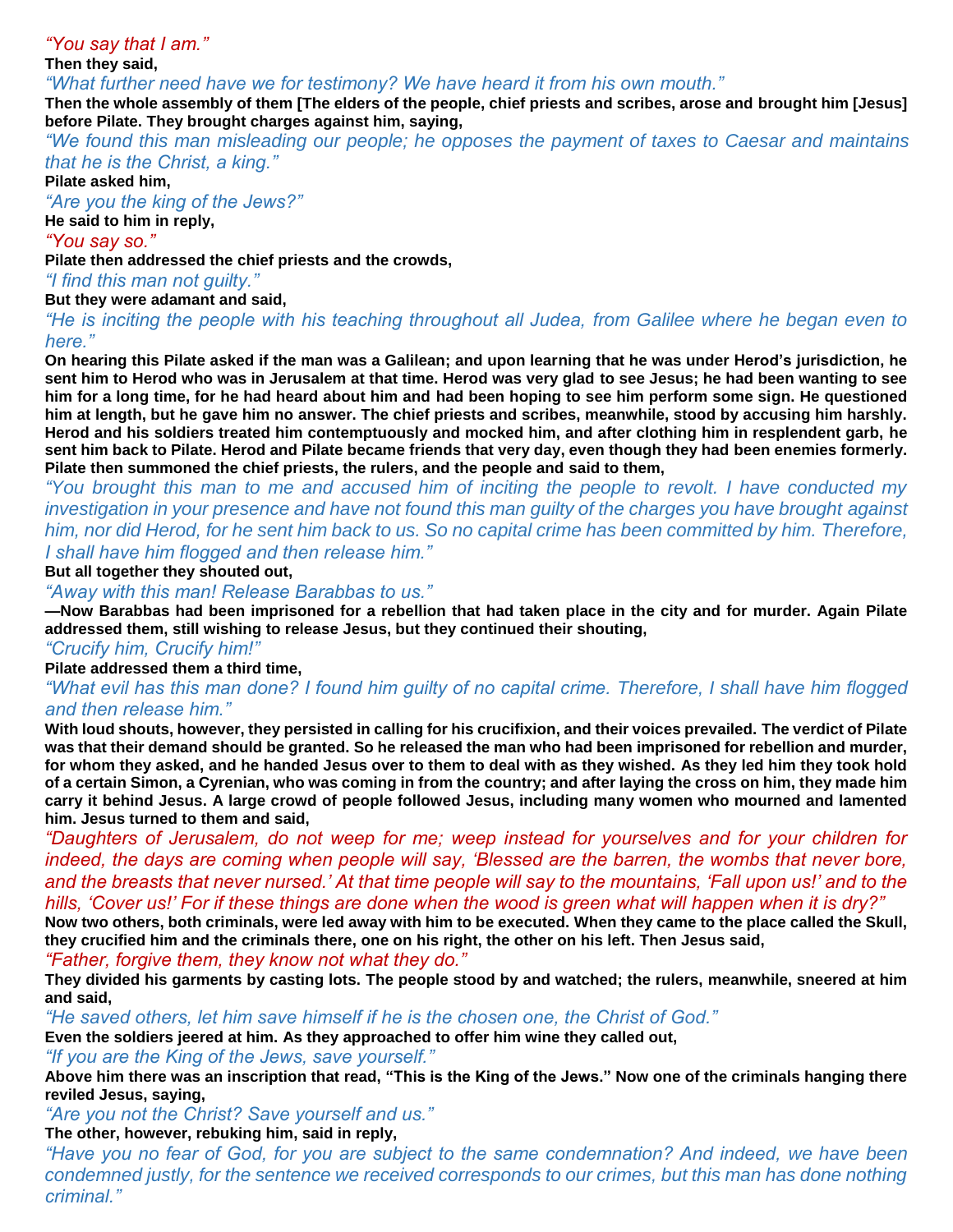*"You say that I am."* **Then they said,**

*"What further need have we for testimony? We have heard it from his own mouth."*

**Then the whole assembly of them [The elders of the people, chief priests and scribes, arose and brought him [Jesus] before Pilate. They brought charges against him, saying,**

*"We found this man misleading our people; he opposes the payment of taxes to Caesar and maintains that he is the Christ, a king."*

**Pilate asked him,**

*"Are you the king of the Jews?"* **He said to him in reply,**

*"You say so."*

**Pilate then addressed the chief priests and the crowds,**

*"I find this man not guilty."*

**But they were adamant and said,**

*"He is inciting the people with his teaching throughout all Judea, from Galilee where he began even to here."*

**On hearing this Pilate asked if the man was a Galilean; and upon learning that he was under Herod's jurisdiction, he sent him to Herod who was in Jerusalem at that time. Herod was very glad to see Jesus; he had been wanting to see him for a long time, for he had heard about him and had been hoping to see him perform some sign. He questioned him at length, but he gave him no answer. The chief priests and scribes, meanwhile, stood by accusing him harshly. Herod and his soldiers treated him contemptuously and mocked him, and after clothing him in resplendent garb, he sent him back to Pilate. Herod and Pilate became friends that very day, even though they had been enemies formerly. Pilate then summoned the chief priests, the rulers, and the people and said to them,**

*"You brought this man to me and accused him of inciting the people to revolt. I have conducted my investigation in your presence and have not found this man guilty of the charges you have brought against him, nor did Herod, for he sent him back to us. So no capital crime has been committed by him. Therefore, I shall have him flogged and then release him."*

**But all together they shouted out,**

*"Away with this man! Release Barabbas to us."*

**—Now Barabbas had been imprisoned for a rebellion that had taken place in the city and for murder. Again Pilate addressed them, still wishing to release Jesus, but they continued their shouting,**

*"Crucify him, Crucify him!"*

**Pilate addressed them a third time,**

*"What evil has this man done? I found him guilty of no capital crime. Therefore, I shall have him flogged and then release him."*

**With loud shouts, however, they persisted in calling for his crucifixion, and their voices prevailed. The verdict of Pilate was that their demand should be granted. So he released the man who had been imprisoned for rebellion and murder, for whom they asked, and he handed Jesus over to them to deal with as they wished. As they led him they took hold of a certain Simon, a Cyrenian, who was coming in from the country; and after laying the cross on him, they made him carry it behind Jesus. A large crowd of people followed Jesus, including many women who mourned and lamented him. Jesus turned to them and said,**

*"Daughters of Jerusalem, do not weep for me; weep instead for yourselves and for your children for indeed, the days are coming when people will say, 'Blessed are the barren, the wombs that never bore, and the breasts that never nursed.' At that time people will say to the mountains, 'Fall upon us!' and to the hills, 'Cover us!' For if these things are done when the wood is green what will happen when it is dry?"*

**Now two others, both criminals, were led away with him to be executed. When they came to the place called the Skull, they crucified him and the criminals there, one on his right, the other on his left. Then Jesus said,** *"Father, forgive them, they know not what they do."*

**They divided his garments by casting lots. The people stood by and watched; the rulers, meanwhile, sneered at him and said,**

*"He saved others, let him save himself if he is the chosen one, the Christ of God."*

**Even the soldiers jeered at him. As they approached to offer him wine they called out,**

*"If you are the King of the Jews, save yourself."*

**Above him there was an inscription that read, "This is the King of the Jews." Now one of the criminals hanging there reviled Jesus, saying,**

*"Are you not the Christ? Save yourself and us."*

**The other, however, rebuking him, said in reply,**

*"Have you no fear of God, for you are subject to the same condemnation? And indeed, we have been condemned justly, for the sentence we received corresponds to our crimes, but this man has done nothing criminal."*